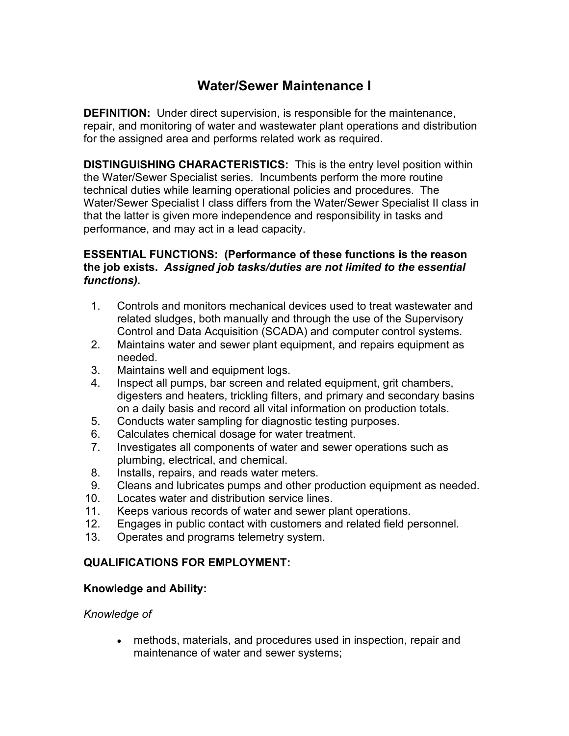# **Water/Sewer Maintenance I**

**DEFINITION:** Under direct supervision, is responsible for the maintenance, repair, and monitoring of water and wastewater plant operations and distribution for the assigned area and performs related work as required.

**DISTINGUISHING CHARACTERISTICS:** This is the entry level position within the Water/Sewer Specialist series. Incumbents perform the more routine technical duties while learning operational policies and procedures. The Water/Sewer Specialist I class differs from the Water/Sewer Specialist II class in that the latter is given more independence and responsibility in tasks and performance, and may act in a lead capacity.

### **ESSENTIAL FUNCTIONS: (Performance of these functions is the reason the job exists.** *Assigned job tasks/duties are not limited to the essential functions).*

- 1. Controls and monitors mechanical devices used to treat wastewater and related sludges, both manually and through the use of the Supervisory Control and Data Acquisition (SCADA) and computer control systems.
- 2. Maintains water and sewer plant equipment, and repairs equipment as needed.
- 3. Maintains well and equipment logs.
- 4. Inspect all pumps, bar screen and related equipment, grit chambers, digesters and heaters, trickling filters, and primary and secondary basins on a daily basis and record all vital information on production totals.
- 5. Conducts water sampling for diagnostic testing purposes.
- 6. Calculates chemical dosage for water treatment.
- 7. Investigates all components of water and sewer operations such as plumbing, electrical, and chemical.
- 8. Installs, repairs, and reads water meters.
- 9. Cleans and lubricates pumps and other production equipment as needed.
- 10. Locates water and distribution service lines.
- 11. Keeps various records of water and sewer plant operations.
- 12. Engages in public contact with customers and related field personnel.
- 13. Operates and programs telemetry system.

## **QUALIFICATIONS FOR EMPLOYMENT:**

## **Knowledge and Ability:**

#### *Knowledge of*

• methods, materials, and procedures used in inspection, repair and maintenance of water and sewer systems;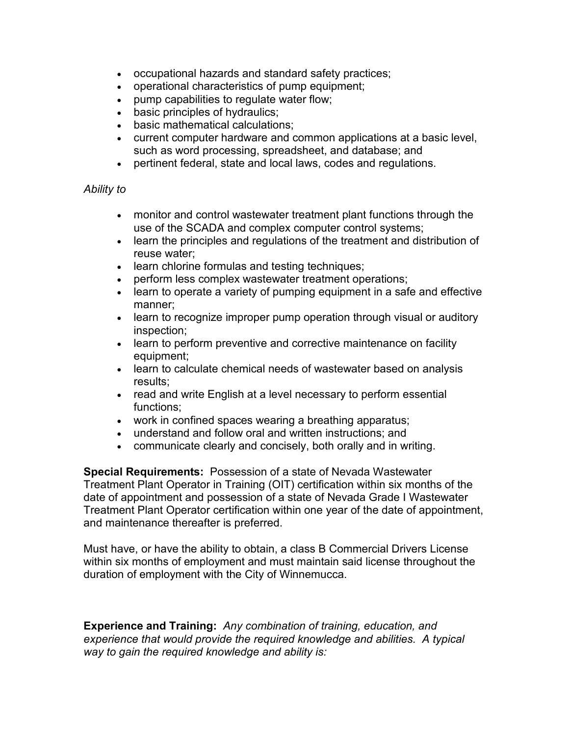- occupational hazards and standard safety practices;
- operational characteristics of pump equipment;
- pump capabilities to regulate water flow;
- basic principles of hydraulics;
- basic mathematical calculations;
- current computer hardware and common applications at a basic level, such as word processing, spreadsheet, and database; and
- pertinent federal, state and local laws, codes and regulations.

#### *Ability to*

- monitor and control wastewater treatment plant functions through the use of the SCADA and complex computer control systems;
- learn the principles and regulations of the treatment and distribution of reuse water;
- learn chlorine formulas and testing techniques;
- perform less complex wastewater treatment operations;
- learn to operate a variety of pumping equipment in a safe and effective manner;
- learn to recognize improper pump operation through visual or auditory inspection;
- learn to perform preventive and corrective maintenance on facility equipment;
- learn to calculate chemical needs of wastewater based on analysis results;
- read and write English at a level necessary to perform essential functions;
- work in confined spaces wearing a breathing apparatus;
- understand and follow oral and written instructions; and
- communicate clearly and concisely, both orally and in writing.

**Special Requirements:** Possession of a state of Nevada Wastewater Treatment Plant Operator in Training (OIT) certification within six months of the date of appointment and possession of a state of Nevada Grade I Wastewater Treatment Plant Operator certification within one year of the date of appointment, and maintenance thereafter is preferred.

Must have, or have the ability to obtain, a class B Commercial Drivers License within six months of employment and must maintain said license throughout the duration of employment with the City of Winnemucca.

**Experience and Training:** *Any combination of training, education, and experience that would provide the required knowledge and abilities. A typical way to gain the required knowledge and ability is:*